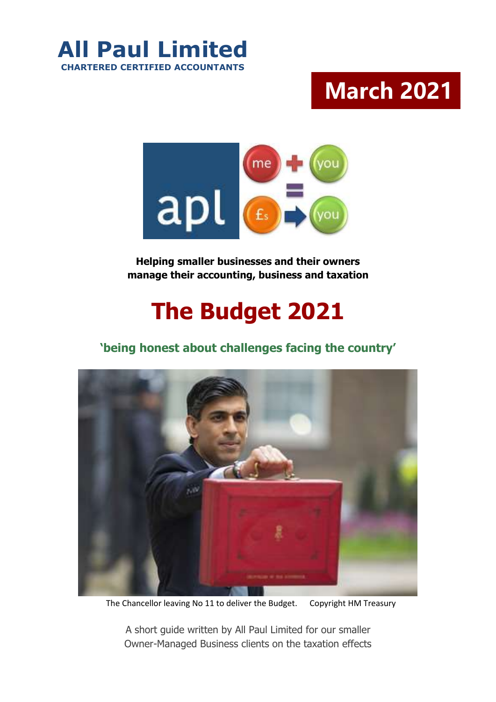

# **March 2021 …**



**Helping smaller businesses and their owners manage their accounting, business and taxation**

# **The Budget 2021**

# **'being honest about challenges facing the country'**



The Chancellor leaving No 11 to deliver the Budget. Copyright HM Treasury

A short guide written by All Paul Limited for our smaller Owner-Managed Business clients on the taxation effects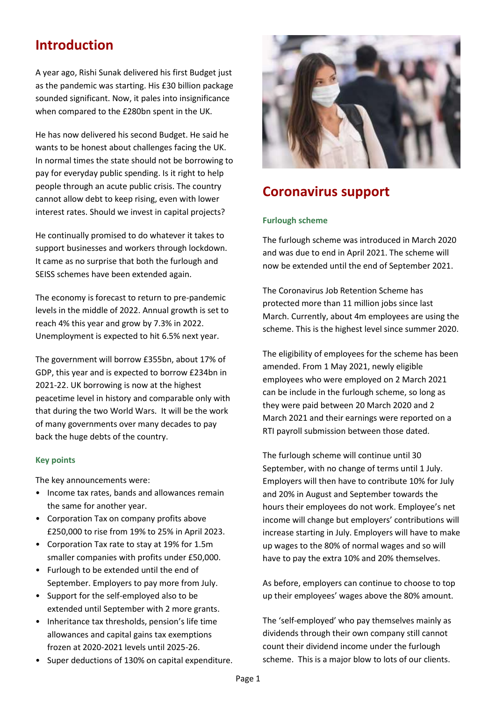# **Introduction**

A year ago, Rishi Sunak delivered his first Budget just as the pandemic was starting. His £30 billion package sounded significant. Now, it pales into insignificance when compared to the £280bn spent in the UK.

He has now delivered his second Budget. He said he wants to be honest about challenges facing the UK. In normal times the state should not be borrowing to pay for everyday public spending. Is it right to help people through an acute public crisis. The country cannot allow debt to keep rising, even with lower interest rates. Should we invest in capital projects?

He continually promised to do whatever it takes to support businesses and workers through lockdown. It came as no surprise that both the furlough and SEISS schemes have been extended again.

The economy is forecast to return to pre-pandemic levels in the middle of 2022. Annual growth is set to reach 4% this year and grow by 7.3% in 2022. Unemployment is expected to hit 6.5% next year.

The government will borrow £355bn, about 17% of GDP, this year and is expected to borrow £234bn in 2021-22. UK borrowing is now at the highest peacetime level in history and comparable only with that during the two World Wars. It will be the work of many governments over many decades to pay back the huge debts of the country.

#### **Key points**

The key announcements were:

- Income tax rates, bands and allowances remain the same for another year.
- Corporation Tax on company profits above £250,000 to rise from 19% to 25% in April 2023.
- Corporation Tax rate to stay at 19% for 1.5m smaller companies with profits under £50,000.
- Furlough to be extended until the end of September. Employers to pay more from July.
- Support for the self-employed also to be extended until September with 2 more grants.
- Inheritance tax thresholds, pension's life time allowances and capital gains tax exemptions frozen at 2020-2021 levels until 2025-26.
- Super deductions of 130% on capital expenditure.



# **Coronavirus support**

#### **Furlough scheme**

The furlough scheme was introduced in March 2020 and was due to end in April 2021. The scheme will now be extended until the end of September 2021.

The Coronavirus Job Retention Scheme has protected more than 11 million jobs since last March. Currently, about 4m employees are using the scheme. This is the highest level since summer 2020.

The eligibility of employees for the scheme has been amended. From 1 May 2021, newly eligible employees who were employed on 2 March 2021 can be include in the furlough scheme, so long as they were paid between 20 March 2020 and 2 March 2021 and their earnings were reported on a RTI payroll submission between those dated.

The furlough scheme will continue until 30 September, with no change of terms until 1 July. Employers will then have to contribute 10% for July and 20% in August and September towards the hours their employees do not work. Employee's net income will change but employers' contributions will increase starting in July. Employers will have to make up wages to the 80% of normal wages and so will have to pay the extra 10% and 20% themselves.

As before, employers can continue to choose to top up their employees' wages above the 80% amount.

The 'self-employed' who pay themselves mainly as dividends through their own company still cannot count their dividend income under the furlough scheme. This is a major blow to lots of our clients.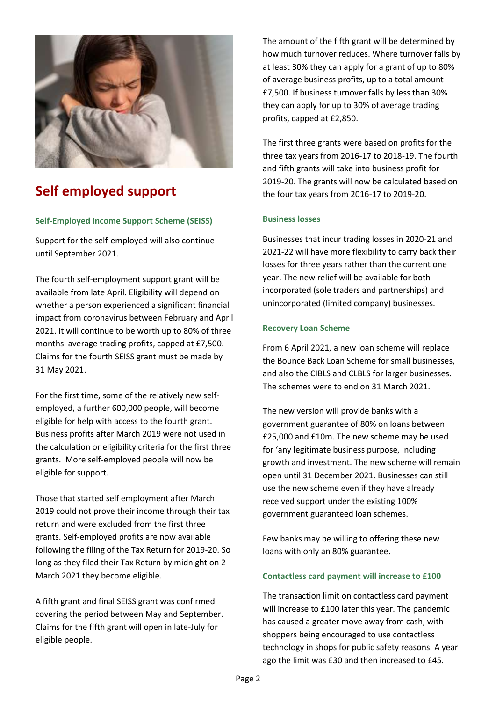

# **Self employed support**

### **Self-Employed Income Support Scheme (SEISS)**

Support for the self-employed will also continue until September 2021.

The fourth self-employment support grant will be available from late April. Eligibility will depend on whether a person experienced a significant financial impact from coronavirus between February and April 2021. It will continue to be worth up to 80% of three months' average trading profits, capped at £7,500. Claims for the fourth SEISS grant must be made by 31 May 2021.

For the first time, some of the relatively new selfemployed, a further 600,000 people, will become eligible for help with access to the fourth grant. Business profits after March 2019 were not used in the calculation or eligibility criteria for the first three grants. More self-employed people will now be eligible for support.

Those that started self employment after March 2019 could not prove their income through their tax return and were excluded from the first three grants. Self-employed profits are now available following the filing of the Tax Return for 2019-20. So long as they filed their Tax Return by midnight on 2 March 2021 they become eligible.

A fifth grant and final SEISS grant was confirmed covering the period between May and September. Claims for the fifth grant will open in late-July for eligible people.

The amount of the fifth grant will be determined by how much turnover reduces. Where turnover falls by at least 30% they can apply for a grant of up to 80% of average business profits, up to a total amount £7,500. If business turnover falls by less than 30% they can apply for up to 30% of average trading profits, capped at £2,850.

The first three grants were based on profits for the three tax years from 2016-17 to 2018-19. The fourth and fifth grants will take into business profit for 2019-20. The grants will now be calculated based on the four tax years from 2016-17 to 2019-20.

#### **Business losses**

Businesses that incur trading losses in 2020-21 and 2021-22 will have more flexibility to carry back their losses for three years rather than the current one year. The new relief will be available for both incorporated (sole traders and partnerships) and unincorporated (limited company) businesses.

#### **Recovery Loan Scheme**

From 6 April 2021, a new loan scheme will replace the Bounce Back Loan Scheme for small businesses, and also the CIBLS and CLBLS for larger businesses. The schemes were to end on 31 March 2021.

The new version will provide banks with a government guarantee of 80% on loans between £25,000 and £10m. The new scheme may be used for 'any legitimate business purpose, including growth and investment. The new scheme will remain open until 31 December 2021. Businesses can still use the new scheme even if they have already received support under the existing 100% government guaranteed loan schemes.

Few banks may be willing to offering these new loans with only an 80% guarantee.

#### **Contactless card payment will increase to £100**

The transaction limit on contactless card payment will increase to £100 later this year. The pandemic has caused a greater move away from cash, with shoppers being encouraged to use contactless technology in shops for public safety reasons. A year ago the limit was £30 and then increased to £45.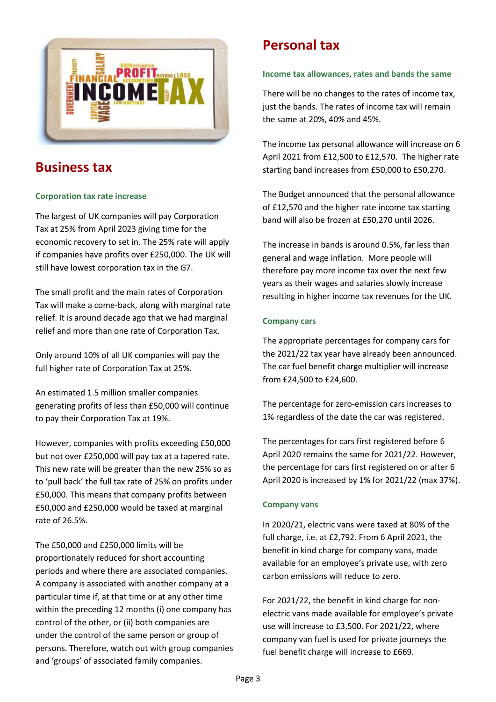

# **Business tax**

## **Corporation tax rate increase**

The largest of UK companies will pay Corporation Tax at 25% from April 2023 giving time for the economic recovery to set in. The 25% rate will apply if companies have profits over £250,000. The UK will still have lowest corporation tax in the G7.

The small profit and the main rates of Corporation Tax will make a come-back, along with marginal rate relief. It is around decade ago that we had marginal relief and more than one rate of Corporation Tax.

Only around 10% of all UK companies will pay the full higher rate of Corporation Tax at 25%.

An estimated 1.5 million smaller companies generating profits of less than £50,000 will continue to pay their Corporation Tax at 19%.

However, companies with profits exceeding £50,000 but not over £250,000 will pay tax at a tapered rate. This new rate will be greater than the new 25% so as to 'pull back' the full tax rate of 25% on profits under £50,000. This means that company profits between £50,000 and £250,000 would be taxed at marginal rate of 26.5%.

The £50,000 and £250,000 limits will be proportionately reduced for short accounting periods and where there are associated companies. A company is associated with another company at a particular time if, at that time or at any other time within the preceding 12 months (i) one company has control of the other, or (ii) both companies are under the control of the same person or group of persons. Therefore, watch out with group companies and 'groups' of associated family companies.

# **Personal tax**

### **Income tax allowances, rates and bands the same**

There will be no changes to the rates of income tax, just the bands. The rates of income tax will remain the same at 20%, 40% and 45%.

The income tax personal allowance will increase on 6 April 2021 from £12,500 to £12,570. The higher rate starting band increases from £50,000 to £50,270.

The Budget announced that the personal allowance of £12,570 and the higher rate income tax starting band will also be frozen at £50,270 until 2026.

The increase in bands is around 0.5%, far less than general and wage inflation. More people will therefore pay more income tax over the next few years as their wages and salaries slowly increase resulting in higher income tax revenues for the UK.

### **Company cars**

The appropriate percentages for company cars for the 2021/22 tax year have already been announced. The car fuel benefit charge multiplier will increase from £24,500 to £24,600.

The percentage for zero-emission cars increases to 1% regardless of the date the car was registered.

The percentages for cars first registered before 6 April 2020 remains the same for 2021/22. However, the percentage for cars first registered on or after 6 April 2020 is increased by 1% for 2021/22 (max 37%).

### **Company vans**

In 2020/21, electric vans were taxed at 80% of the full charge, i.e. at £2,792. From 6 April 2021, the benefit in kind charge for company vans, made available for an employee's private use, with zero carbon emissions will reduce to zero.

For 2021/22, the benefit in kind charge for nonelectric vans made available for employee's private use will increase to £3,500. For 2021/22, where company van fuel is used for private journeys the fuel benefit charge will increase to £669.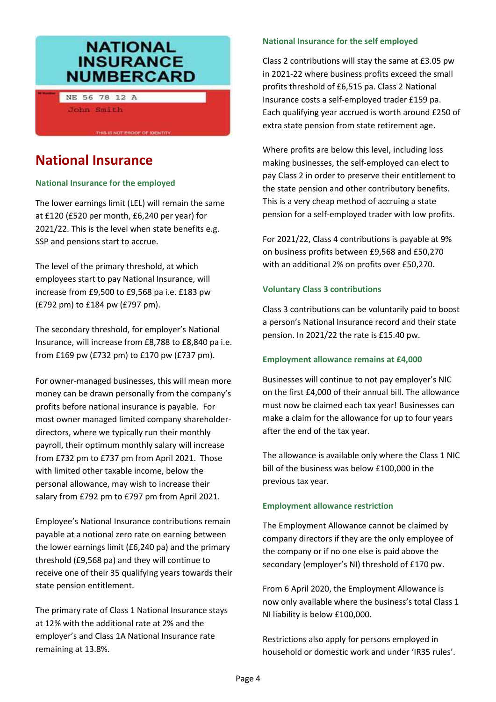# **NATIONAL INSURANCE NUMBERCARD**

THIS IS NOT PROOF OF IDENTITY

NE 56 78 12 A John Smith

# **National Insurance**

### **National Insurance for the employed**

The lower earnings limit (LEL) will remain the same at £120 (£520 per month, £6,240 per year) for 2021/22. This is the level when state benefits e.g. SSP and pensions start to accrue.

The level of the primary threshold, at which employees start to pay National Insurance, will increase from £9,500 to £9,568 pa i.e. £183 pw (£792 pm) to £184 pw (£797 pm).

The secondary threshold, for employer's National Insurance, will increase from £8,788 to £8,840 pa i.e. from £169 pw (£732 pm) to £170 pw (£737 pm).

For owner-managed businesses, this will mean more money can be drawn personally from the company's profits before national insurance is payable. For most owner managed limited company shareholderdirectors, where we typically run their monthly payroll, their optimum monthly salary will increase from £732 pm to £737 pm from April 2021. Those with limited other taxable income, below the personal allowance, may wish to increase their salary from £792 pm to £797 pm from April 2021.

Employee's National Insurance contributions remain payable at a notional zero rate on earning between the lower earnings limit (£6,240 pa) and the primary threshold (£9,568 pa) and they will continue to receive one of their 35 qualifying years towards their state pension entitlement.

The primary rate of Class 1 National Insurance stays at 12% with the additional rate at 2% and the employer's and Class 1A National Insurance rate remaining at 13.8%.

## **National Insurance for the self employed**

Class 2 contributions will stay the same at £3.05 pw in 2021-22 where business profits exceed the small profits threshold of £6,515 pa. Class 2 National Insurance costs a self-employed trader £159 pa. Each qualifying year accrued is worth around £250 of extra state pension from state retirement age.

Where profits are below this level, including loss making businesses, the self-employed can elect to pay Class 2 in order to preserve their entitlement to the state pension and other contributory benefits. This is a very cheap method of accruing a state pension for a self-employed trader with low profits.

For 2021/22, Class 4 contributions is payable at 9% on business profits between £9,568 and £50,270 with an additional 2% on profits over £50,270.

### **Voluntary Class 3 contributions**

Class 3 contributions can be voluntarily paid to boost a person's National Insurance record and their state pension. In 2021/22 the rate is £15.40 pw.

### **Employment allowance remains at £4,000**

Businesses will continue to not pay employer's NIC on the first £4,000 of their annual bill. The allowance must now be claimed each tax year! Businesses can make a claim for the allowance for up to four years after the end of the tax year.

The allowance is available only where the Class 1 NIC bill of the business was below £100,000 in the previous tax year.

### **Employment allowance restriction**

The Employment Allowance cannot be claimed by company directors if they are the only employee of the company or if no one else is paid above the secondary (employer's NI) threshold of £170 pw.

From 6 April 2020, the Employment Allowance is now only available where the business's total Class 1 NI liability is below £100,000.

Restrictions also apply for persons employed in household or domestic work and under 'IR35 rules'.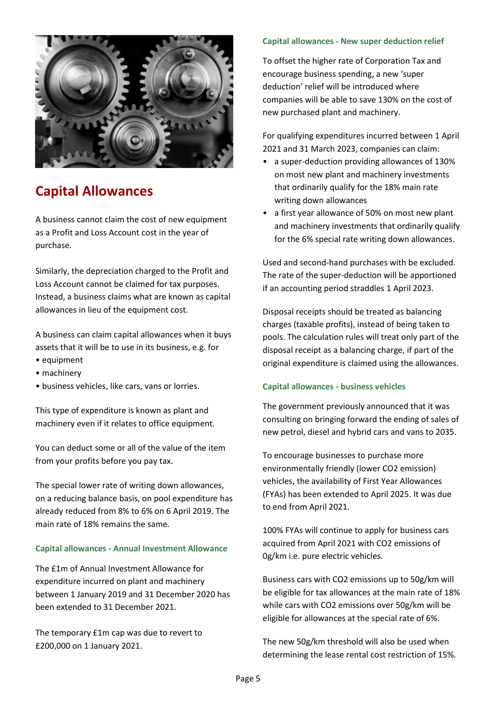

# **Capital Allowances**

A business cannot claim the cost of new equipment as a Profit and Loss Account cost in the year of purchase.

Similarly, the depreciation charged to the Profit and Loss Account cannot be claimed for tax purposes. Instead, a business claims what are known as capital allowances in lieu of the equipment cost.

A business can claim capital allowances when it buys assets that it will be to use in its business, e.g. for

- equipment
- machinery
- business vehicles, like cars, vans or lorries.

This type of expenditure is known as plant and machinery even if it relates to office equipment.

You can deduct some or all of the value of the item from your profits before you pay tax.

The special lower rate of writing down allowances, on a reducing balance basis, on pool expenditure has already reduced from 8% to 6% on 6 April 2019. The main rate of 18% remains the same.

#### **Capital allowances - Annual Investment Allowance**

The £1m of Annual Investment Allowance for expenditure incurred on plant and machinery between 1 January 2019 and 31 December 2020 has been extended to 31 December 2021.

The temporary £1m cap was due to revert to £200,000 on 1 January 2021.

#### **Capital allowances - New super deduction relief**

To offset the higher rate of Corporation Tax and encourage business spending, a new 'super deduction' relief will be introduced where companies will be able to save 130% on the cost of new purchased plant and machinery.

For qualifying expenditures incurred between 1 April 2021 and 31 March 2023, companies can claim:

- a super-deduction providing allowances of 130% on most new plant and machinery investments that ordinarily qualify for the 18% main rate writing down allowances
- a first year allowance of 50% on most new plant and machinery investments that ordinarily qualify for the 6% special rate writing down allowances.

Used and second-hand purchases with be excluded. The rate of the super-deduction will be apportioned if an accounting period straddles 1 April 2023.

Disposal receipts should be treated as balancing charges (taxable profits), instead of being taken to pools. The calculation rules will treat only part of the disposal receipt as a balancing charge, if part of the original expenditure is claimed using the allowances.

#### **Capital allowances - business vehicles**

The government previously announced that it was consulting on bringing forward the ending of sales of new petrol, diesel and hybrid cars and vans to 2035.

To encourage businesses to purchase more environmentally friendly (lower CO2 emission) vehicles, the availability of First Year Allowances (FYAs) has been extended to April 2025. It was due to end from April 2021.

100% FYAs will continue to apply for business cars acquired from April 2021 with CO2 emissions of 0g/km i.e. pure electric vehicles.

Business cars with CO2 emissions up to 50g/km will be eligible for tax allowances at the main rate of 18% while cars with CO2 emissions over 50g/km will be eligible for allowances at the special rate of 6%.

The new 50g/km threshold will also be used when determining the lease rental cost restriction of 15%.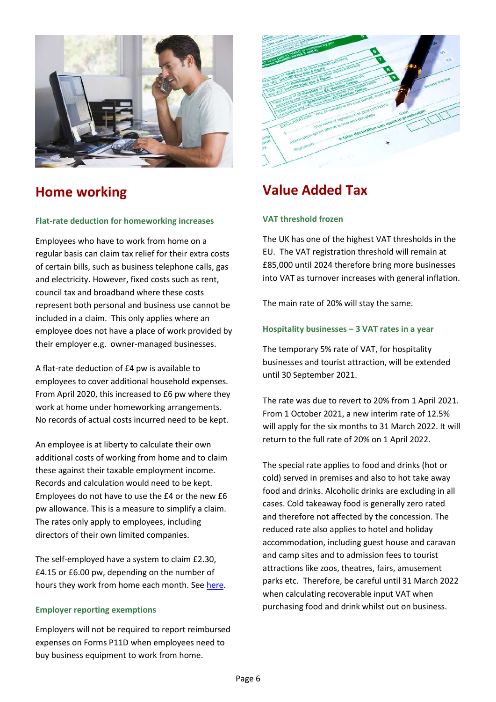

# **Home working**

#### **Flat-rate deduction for homeworking increases**

Employees who have to work from home on a regular basis can claim tax relief for their extra costs of certain bills, such as business telephone calls, gas and electricity. However, fixed costs such as rent, council tax and broadband where these costs represent both personal and business use cannot be included in a claim. This only applies where an employee does not have a place of work provided by their employer e.g. owner-managed businesses.

A flat-rate deduction of £4 pw is available to employees to cover additional household expenses. From April 2020, this increased to £6 pw where they work at home under homeworking arrangements. No records of actual costs incurred need to be kept.

An employee is at liberty to calculate their own additional costs of working from home and to claim these against their taxable employment income. Records and calculation would need to be kept. Employees do not have to use the £4 or the new £6 pw allowance. This is a measure to simplify a claim. The rates only apply to employees, including directors of their own limited companies.

The self-employed have a system to claim £2.30, £4.15 or £6.00 pw, depending on the number of hours they work from home each month. See [here.](https://www.gov.uk/simpler-income-tax-simplified-expenses/working-from-home)

#### **Employer reporting exemptions**

Employers will not be required to report reimbursed expenses on Forms P11D when employees need to buy business equipment to work from home.



# **Value Added Tax**

#### **VAT threshold frozen**

The UK has one of the highest VAT thresholds in the EU. The VAT registration threshold will remain at £85,000 until 2024 therefore bring more businesses into VAT as turnover increases with general inflation.

The main rate of 20% will stay the same.

#### **Hospitality businesses – 3 VAT rates in a year**

The temporary 5% rate of VAT, for hospitality businesses and tourist attraction, will be extended until 30 September 2021.

The rate was due to revert to 20% from 1 April 2021. From 1 October 2021, a new interim rate of 12.5% will apply for the six months to 31 March 2022. It will return to the full rate of 20% on 1 April 2022.

The special rate applies to food and drinks (hot or cold) served in premises and also to hot take away food and drinks. Alcoholic drinks are excluding in all cases. Cold takeaway food is generally zero rated and therefore not affected by the concession. The reduced rate also applies to hotel and holiday accommodation, including guest house and caravan and camp sites and to admission fees to tourist attractions like zoos, theatres, fairs, amusement parks etc. Therefore, be careful until 31 March 2022 when calculating recoverable input VAT when purchasing food and drink whilst out on business.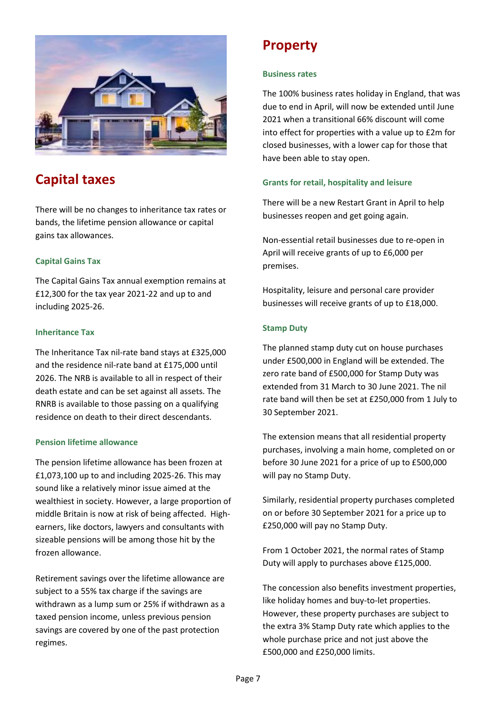

# **Capital taxes**

There will be no changes to inheritance tax rates or bands, the lifetime pension allowance or capital gains tax allowances.

## **Capital Gains Tax**

The Capital Gains Tax annual exemption remains at £12,300 for the tax year 2021-22 and up to and including 2025-26.

### **Inheritance Tax**

The Inheritance Tax nil-rate band stays at £325,000 and the residence nil-rate band at £175,000 until 2026. The NRB is available to all in respect of their death estate and can be set against all assets. The RNRB is available to those passing on a qualifying residence on death to their direct descendants.

### **Pension lifetime allowance**

The pension lifetime allowance has been frozen at £1,073,100 up to and including 2025-26. This may sound like a relatively minor issue aimed at the wealthiest in society. However, a large proportion of middle Britain is now at risk of being affected. Highearners, like doctors, lawyers and consultants with sizeable pensions will be among those hit by the frozen allowance.

Retirement savings over the lifetime allowance are subject to a 55% tax charge if the savings are withdrawn as a lump sum or 25% if withdrawn as a taxed pension income, unless previous pension savings are covered by one of the past protection regimes.

# **Property**

#### **Business rates**

The 100% business rates holiday in England, that was due to end in April, will now be extended until June 2021 when a transitional 66% discount will come into effect for properties with a value up to £2m for closed businesses, with a lower cap for those that have been able to stay open.

### **Grants for retail, hospitality and leisure**

There will be a new Restart Grant in April to help businesses reopen and get going again.

Non-essential retail businesses due to re-open in April will receive grants of up to £6,000 per premises.

Hospitality, leisure and personal care provider businesses will receive grants of up to £18,000.

### **Stamp Duty**

The planned stamp duty cut on house purchases under £500,000 in England will be extended. The zero rate band of £500,000 for Stamp Duty was extended from 31 March to 30 June 2021. The nil rate band will then be set at £250,000 from 1 July to 30 September 2021.

The extension means that all residential property purchases, involving a main home, completed on or before 30 June 2021 for a price of up to £500,000 will pay no Stamp Duty.

Similarly, residential property purchases completed on or before 30 September 2021 for a price up to £250,000 will pay no Stamp Duty.

From 1 October 2021, the normal rates of Stamp Duty will apply to purchases above £125,000.

The concession also benefits investment properties, like holiday homes and buy-to-let properties. However, these property purchases are subject to the extra 3% Stamp Duty rate which applies to the whole purchase price and not just above the £500,000 and £250,000 limits.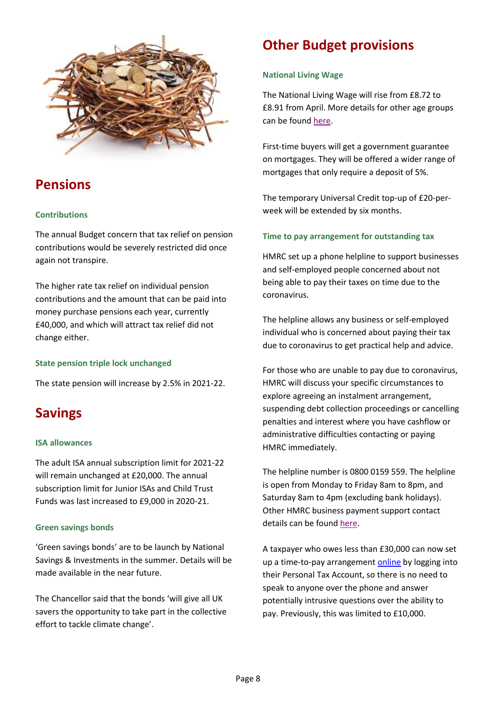

# **Pensions**

### **Contributions**

The annual Budget concern that tax relief on pension contributions would be severely restricted did once again not transpire.

The higher rate tax relief on individual pension contributions and the amount that can be paid into money purchase pensions each year, currently £40,000, and which will attract tax relief did not change either.

### **State pension triple lock unchanged**

The state pension will increase by 2.5% in 2021-22.

# **Savings**

#### **ISA allowances**

The adult ISA annual subscription limit for 2021-22 will remain unchanged at £20,000. The annual subscription limit for Junior ISAs and Child Trust Funds was last increased to £9,000 in 2020-21.

#### **Green savings bonds**

'Green savings bonds' are to be launch by National Savings & Investments in the summer. Details will be made available in the near future.

The Chancellor said that the bonds 'will give all UK savers the opportunity to take part in the collective effort to tackle climate change'.

# **Other Budget provisions**

### **National Living Wage**

The National Living Wage will rise from £8.72 to £8.91 from April. More details for other age groups can be found [here.](https://www.gov.uk/national-minimum-wage-rates)

First-time buyers will get a government guarantee on mortgages. They will be offered a wider range of mortgages that only require a deposit of 5%.

The temporary Universal Credit top-up of £20-perweek will be extended by six months.

### **Time to pay arrangement for outstanding tax**

HMRC set up a phone helpline to support businesses and self-employed people concerned about not being able to pay their taxes on time due to the coronavirus.

The helpline allows any business or self-employed individual who is concerned about paying their tax due to coronavirus to get practical help and advice.

For those who are unable to pay due to coronavirus, HMRC will discuss your specific circumstances to explore agreeing an instalment arrangement, suspending debt collection proceedings or cancelling penalties and interest where you have cashflow or administrative difficulties contacting or paying HMRC immediately.

The helpline number is 0800 0159 559. The helpline is open from Monday to Friday 8am to 8pm, and Saturday 8am to 4pm (excluding bank holidays). Other HMRC business payment support contact details can be found [here.](https://www.gov.uk/difficulties-paying-hmrc)

A taxpayer who owes less than £30,000 can now set up a time-to-pay arrangement [online](https://www.gov.uk/pay-self-assessment-tax-bill/pay-in-instalments) by logging into their Personal Tax Account, so there is no need to speak to anyone over the phone and answer potentially intrusive questions over the ability to pay. Previously, this was limited to £10,000.